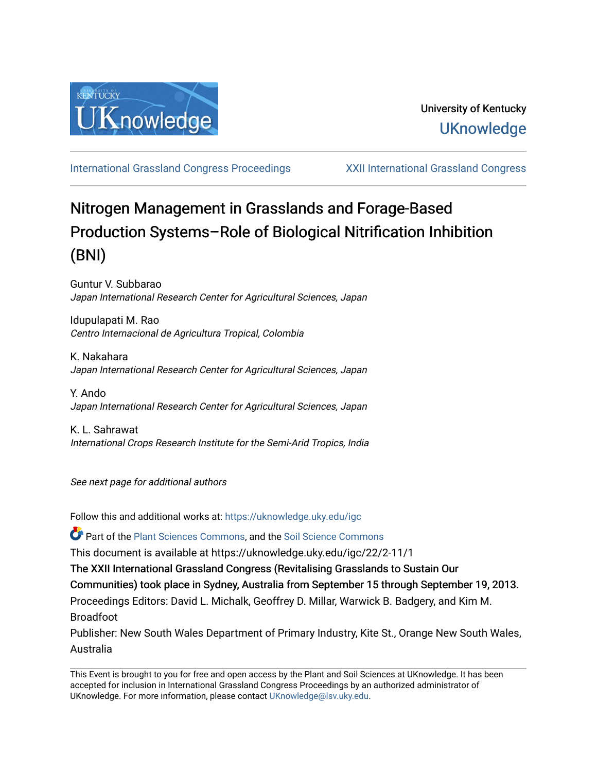

[International Grassland Congress Proceedings](https://uknowledge.uky.edu/igc) [XXII International Grassland Congress](https://uknowledge.uky.edu/igc/22) 

# Nitrogen Management in Grasslands and Forage-Based Production Systems–Role of Biological Nitrification Inhibition (BNI)

Guntur V. Subbarao Japan International Research Center for Agricultural Sciences, Japan

Idupulapati M. Rao Centro Internacional de Agricultura Tropical, Colombia

K. Nakahara Japan International Research Center for Agricultural Sciences, Japan

Y. Ando Japan International Research Center for Agricultural Sciences, Japan

K. L. Sahrawat International Crops Research Institute for the Semi-Arid Tropics, India

See next page for additional authors

Follow this and additional works at: [https://uknowledge.uky.edu/igc](https://uknowledge.uky.edu/igc?utm_source=uknowledge.uky.edu%2Figc%2F22%2F2-11%2F1&utm_medium=PDF&utm_campaign=PDFCoverPages) 

Part of the [Plant Sciences Commons](http://network.bepress.com/hgg/discipline/102?utm_source=uknowledge.uky.edu%2Figc%2F22%2F2-11%2F1&utm_medium=PDF&utm_campaign=PDFCoverPages), and the [Soil Science Commons](http://network.bepress.com/hgg/discipline/163?utm_source=uknowledge.uky.edu%2Figc%2F22%2F2-11%2F1&utm_medium=PDF&utm_campaign=PDFCoverPages) 

This document is available at https://uknowledge.uky.edu/igc/22/2-11/1

The XXII International Grassland Congress (Revitalising Grasslands to Sustain Our

Communities) took place in Sydney, Australia from September 15 through September 19, 2013.

Proceedings Editors: David L. Michalk, Geoffrey D. Millar, Warwick B. Badgery, and Kim M. Broadfoot

Publisher: New South Wales Department of Primary Industry, Kite St., Orange New South Wales, Australia

This Event is brought to you for free and open access by the Plant and Soil Sciences at UKnowledge. It has been accepted for inclusion in International Grassland Congress Proceedings by an authorized administrator of UKnowledge. For more information, please contact [UKnowledge@lsv.uky.edu](mailto:UKnowledge@lsv.uky.edu).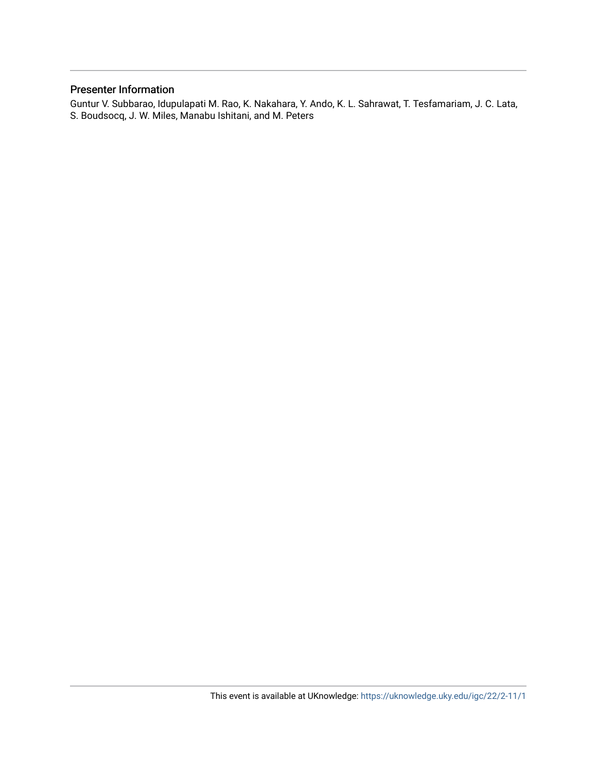# Presenter Information

Guntur V. Subbarao, Idupulapati M. Rao, K. Nakahara, Y. Ando, K. L. Sahrawat, T. Tesfamariam, J. C. Lata, S. Boudsocq, J. W. Miles, Manabu Ishitani, and M. Peters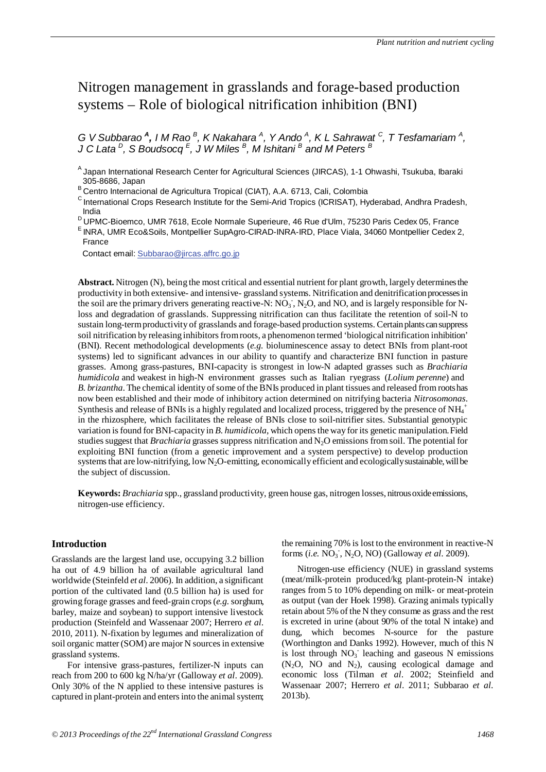# Nitrogen management in grasslands and forage-based production systems – Role of biological nitrification inhibition (BNI)

*G* V Subbarao <sup>A</sup>, I M Rao <sup>B</sup>, K Nakahara <sup>A</sup>, Y Ando <sup>A</sup>, K L Sahrawat <sup>C</sup>, T Tesfamariam <sup>A</sup>, *J C Lata D, S Boudsocq <sup>E</sup> , J W Miles <sup>B</sup> , M Ishitani <sup>B</sup> and M Peters <sup>B</sup>*

<sup>B</sup> Centro Internacional de Agricultura Tropical (CIAT), A.A. 6713, Cali, Colombia

C International Crops Research Institute for the Semi-Arid Tropics (ICRISAT), Hyderabad, Andhra Pradesh, India

- D UPMC-Bioemco, UMR 7618, Ecole Normale Superieure, 46 Rue d'Ulm, 75230 Paris Cedex 05, France<br>E INRA, UMR Eco&Soils, Montpellier SupAgro-CIRAD-INRA-IRD, Place Viala, 34060 Montpellier Cedex 2,
- France

Contact email: Subbarao@jircas.affrc.go.jp

**Abstract.** Nitrogen (N), being the most critical and essential nutrient for plant growth, largely determines the productivity in both extensive- and intensive- grassland systems. Nitrification and denitrification processes in the soil are the primary drivers generating reactive-N:  $NO_3$ ,  $N_2O$ , and NO, and is largely responsible for Nloss and degradation of grasslands. Suppressing nitrification can thus facilitate the retention of soil-N to sustain long-term productivity of grasslands and forage-based production systems. Certain plants can suppress soil nitrification by releasing inhibitors from roots, a phenomenon termed 'biological nitrification inhibition' (BNI). Recent methodological developments (*e.g.* bioluminescence assay to detect BNIs from plant-root systems) led to significant advances in our ability to quantify and characterize BNI function in pasture grasses. Among grass-pastures, BNI-capacity is strongest in low-N adapted grasses such as *Brachiaria humidicola* and weakest in high-N environment grasses such as Italian ryegrass (*Lolium perenne*) and *B. brizantha*. The chemical identity of some of the BNIs produced in plant tissues and released from roots has now been established and their mode of inhibitory action determined on nitrifying bacteria *Nitrosomonas*. Synthesis and release of BNIs is a highly regulated and localized process, triggered by the presence of NH<sub>4</sub><sup>+</sup> in the rhizosphere, which facilitates the release of BNIs close to soil-nitrifier sites. Substantial genotypic variation is found for BNI-capacity in *B. humidicola*, which opens the way for its genetic manipulation. Field studies suggest that *Brachiaria* grasses suppress nitrification and N2O emissions from soil. The potential for exploiting BNI function (from a genetic improvement and a system perspective) to develop production systems that are low-nitrifying, low N2O-emitting, economically efficient and ecologically sustainable, will be the subject of discussion.

**Keywords:** *Brachiaria* spp., grassland productivity, green house gas, nitrogen losses, nitrous oxide emissions, nitrogen-use efficiency.

# **Introduction**

Grasslands are the largest land use, occupying 3.2 billion ha out of 4.9 billion ha of available agricultural land worldwide (Steinfeld *et al*. 2006). In addition, a significant portion of the cultivated land (0.5 billion ha) is used for growing forage grasses and feed-grain crops (*e.g.*sorghum, barley, maize and soybean) to support intensive livestock production (Steinfeld and Wassenaar 2007; Herrero *et al*. 2010, 2011). N-fixation by legumes and mineralization of soil organic matter (SOM) are major N sources in extensive grassland systems.

For intensive grass-pastures, fertilizer-N inputs can reach from 200 to 600 kg N/ha/yr (Galloway *et al*. 2009). Only 30% of the N applied to these intensive pastures is captured in plant-protein and enters into the animal system; the remaining 70% is lost to the environment in reactive-N forms (*i.e.* NO<sub>3</sub><sup>-</sup>, N<sub>2</sub>O, NO) (Galloway *et al.* 2009).

Nitrogen-use efficiency (NUE) in grassland systems (meat/milk-protein produced/kg plant-protein-N intake) ranges from 5 to 10% depending on milk- or meat-protein as output (van der Hoek 1998). Grazing animals typically retain about 5% of the N they consume as grass and the rest is excreted in urine (about 90% of the total N intake) and dung, which becomes N-source for the pasture (Worthington and Danks 1992). However, much of this N is lost through  $NO<sub>3</sub>$  leaching and gaseous N emissions  $(N_2O, NO and N_2)$ , causing ecological damage and economic loss (Tilman *et al*. 2002; Steinfield and Wassenaar 2007; Herrero *et al*. 2011; Subbarao *et al*. 2013b).

<sup>&</sup>lt;sup>A</sup> Japan International Research Center for Agricultural Sciences (JIRCAS), 1-1 Ohwashi, Tsukuba, Ibaraki<br>305-8686, Japan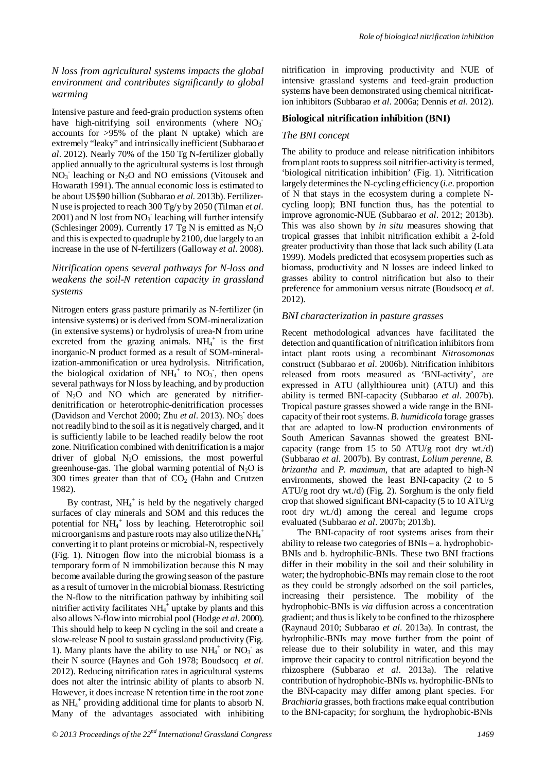*N loss from agricultural systems impacts the global environment and contributes significantly to global warming*

Intensive pasture and feed-grain production systems often have high-nitrifying soil environments (where  $NO_3$ <sup>-</sup> accounts for >95% of the plant N uptake) which are extremely "leaky" and intrinsically inefficient (Subbarao *et al*. 2012). Nearly 70% of the 150 Tg N-fertilizer globally applied annually to the agricultural systems is lost through NO<sub>3</sub> leaching or N<sub>2</sub>O and NO emissions (Vitousek and Howarath 1991). The annual economic loss is estimated to be about US\$90 billion (Subbarao *et al.* 2013b). Fertilizer-N use is projected to reach 300 Tg/y by 2050 (Tilman *et al*.  $2001$ ) and N lost from  $NO<sub>3</sub>$  leaching will further intensify (Schlesinger 2009). Currently 17 Tg N is emitted as  $N_2O$ and this is expected to quadruple by 2100, due largely to an increase in the use of N-fertilizers (Galloway *et al*. 2008).

# *Nitrification opens several pathways for N-loss and weakens the soil-N retention capacity in grassland systems*

Nitrogen enters grass pasture primarily as N-fertilizer (in intensive systems) or is derived from SOM-mineralization (in extensive systems) or hydrolysis of urea-N from urine excreted from the grazing animals.  $NH_4^+$  is the first inorganic-N product formed as a result of SOM-mineralization-ammonification or urea hydrolysis. Nitrification, the biological oxidation of  $NH_4^+$  to  $NO_3^-$ , then opens several pathways for N loss by leaching, and by production of N2O and NO which are generated by nitrifierdenitrification or heterotrophic-denitrification processes (Davidson and Verchot 2000; Zhu et al. 2013). NO<sub>3</sub> does not readily bind to the soil as it is negatively charged, and it is sufficiently labile to be leached readily below the root zone. Nitrification combined with denitrification is a major driver of global  $N_2O$  emissions, the most powerful greenhouse-gas. The global warming potential of  $N_2O$  is 300 times greater than that of  $CO<sub>2</sub>$  (Hahn and Crutzen 1982).

By contrast,  $NH_4^+$  is held by the negatively charged surfaces of clay minerals and SOM and this reduces the potential for NH<sub>4</sub><sup>+</sup> loss by leaching. Heterotrophic soil microorganisms and pasture roots may also utilize the NH<sub>4</sub><sup>+</sup> converting it to plant proteins or microbial-N, respectively (Fig. 1). Nitrogen flow into the microbial biomass is a temporary form of N immobilization because this N may become available during the growing season of the pasture as a result of turnover in the microbial biomass. Restricting the N-flow to the nitrification pathway by inhibiting soil nitrifier activity facilitates  $NH_4^{\frac{1}{4}}$  uptake by plants and this also allows N-flow into microbial pool (Hodge *et al*. 2000). This should help to keep N cycling in the soil and create a slow-release N pool to sustain grassland productivity (Fig. 1). Many plants have the ability to use  $NH_4$ <sup>+</sup> or  $NO_3^-$  as their N source (Haynes and Goh 1978; Boudsocq *et al*. 2012). Reducing nitrification rates in agricultural systems does not alter the intrinsic ability of plants to absorb N. However, it doesincrease N retention time in the root zone as  $NH_4^+$  providing additional time for plants to absorb N. Many of the advantages associated with inhibiting nitrification in improving productivity and NUE of intensive grassland systems and feed-grain production systems have been demonstrated using chemical nitrification inhibitors (Subbarao *et al*. 2006a; Dennis *et al*. 2012).

# **Biological nitrification inhibition (BNI)**

#### *The BNI concept*

The ability to produce and release nitrification inhibitors from plant roots to suppress soil nitrifier-activity is termed, 'biological nitrification inhibition' (Fig. 1). Nitrification largely determines the N-cycling efficiency (*i.e*. proportion of N that stays in the ecosystem during a complete Ncycling loop); BNI function thus, has the potential to improve agronomic-NUE (Subbarao *et al*. 2012; 2013b). This was also shown by *in situ* measures showing that tropical grasses that inhibit nitrification exhibit a 2-fold greater productivity than those that lack such ability (Lata 1999). Models predicted that ecosysem properties such as biomass, productivity and N losses are indeed linked to grasses ability to control nitrification but also to their preference for ammonium versus nitrate (Boudsocq *et al*. 2012).

#### *BNI characterization in pasture grasses*

Recent methodological advances have facilitated the detection and quantification of nitrification inhibitors from intact plant roots using a recombinant *Nitrosomonas* construct (Subbarao *et al*. 2006b). Nitrification inhibitors released from roots measured as 'BNI-activity', are expressed in ATU (allylthiourea unit) (ATU) and this ability is termed BNI-capacity (Subbarao *et al*. 2007b). Tropical pasture grasses showed a wide range in the BNIcapacity of their root systems. *B. humidicola* forage grasses that are adapted to low-N production environments of South American Savannas showed the greatest BNIcapacity (range from 15 to 50 ATU/g root dry wt./d) (Subbarao *et al*. 2007b). By contrast, *Lolium perenne*, *B. brizantha* and *P. maximum*, that are adapted to high-N environments, showed the least BNI-capacity (2 to 5 ATU/g root dry wt./d) (Fig. 2). Sorghum is the only field crop that showed significant BNI-capacity (5 to 10 ATU/g root dry wt./d) among the cereal and legume crops evaluated (Subbarao *et al*. 2007b; 2013b).

The BNI-capacity of root systems arises from their ability to release two categories of BNIs – a. hydrophobic-BNIs and b. hydrophilic-BNIs. These two BNI fractions differ in their mobility in the soil and their solubility in water; the hydrophobic-BNIs may remain close to the root as they could be strongly adsorbed on the soil particles, increasing their persistence. The mobility of the hydrophobic-BNIs is *via* diffusion across a concentration gradient; and thus is likely to be confined to the rhizosphere (Raynaud 2010; Subbarao *et al*. 2013a). In contrast, the hydrophilic-BNIs may move further from the point of release due to their solubility in water, and this may improve their capacity to control nitrification beyond the rhizosphere (Subbarao *et al*. 2013a). The relative contribution of hydrophobic-BNIs *vs.* hydrophilic-BNIs to the BNI-capacity may differ among plant species. For *Brachiaria* grasses, both fractions make equal contribution to the BNI-capacity; for sorghum, the hydrophobic-BNIs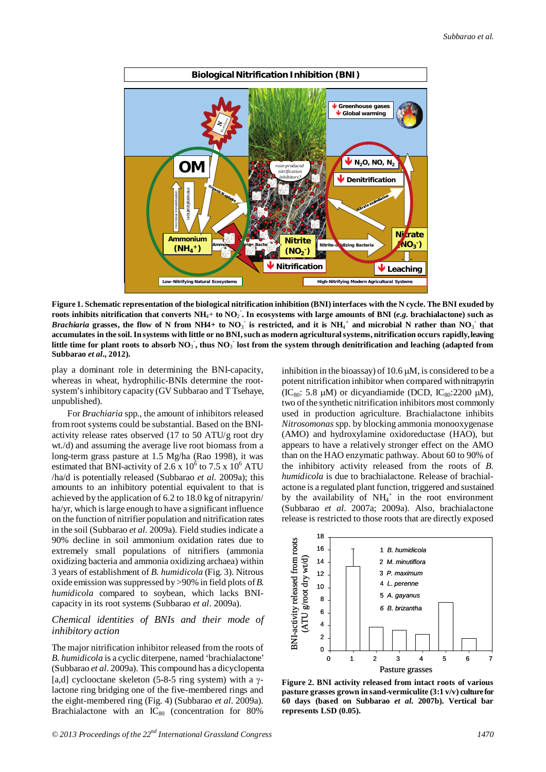

**Figure 1. Schematic representation of the biological nitrification inhibition (BNI) interfaces with the N cycle. The BNI exuded by roots inhibits nitrification that converts NH**4+ **to NO**<sup>2</sup> - **. In ecosystems with large amounts of BNI (***e.g.* **brachialactone) such as**  *Brachiaria* grasses, the flow of N from NH4+ to NO<sub>3</sub> is restricted, and it is NH<sub>4</sub><sup>+</sup> and microbial N rather than NO<sub>3</sub> that **accumulates in the soil. In systems with little or no BNI, such as modern agricultural systems, nitrification occurs rapidly, leaving**  little time for plant roots to absorb  $NO_3$  , thus  $NO_3$  lost from the system through denitrification and leaching (adapted from **Subbarao** *et al***., 2012).**

play a dominant role in determining the BNI-capacity, whereas in wheat, hydrophilic-BNIs determine the rootsystem's inhibitory capacity (GV Subbarao and T Tsehaye, unpublished).

For *Brachiaria* spp., the amount of inhibitors released from root systems could be substantial. Based on the BNIactivity release rates observed (17 to 50 ATU/g root dry wt./d) and assuming the average live root biomass from a long-term grass pasture at 1.5 Mg/ha (Rao 1998), it was estimated that BNI-activity of 2.6 x  $10^6$  to 7.5 x  $10^6$  ATU /ha/d is potentially released (Subbarao *et al.* 2009a); this amounts to an inhibitory potential equivalent to that is achieved by the application of 6.2 to 18.0 kg of nitrapyrin/ ha/yr, which is large enough to have a significant influence on the function of nitrifier population and nitrification rates in the soil (Subbarao *et al*. 2009a). Field studies indicate a 90% decline in soil ammonium oxidation rates due to extremely small populations of nitrifiers (ammonia oxidizing bacteria and ammonia oxidizing archaea) within 3 years of establishment of *B. humidicola* (Fig. 3). Nitrous oxide emission was suppressed by >90% in field plots of *B*. *humidicola* compared to soybean, which lacks BNIcapacity in its root systems (Subbarao *et al*. 2009a).

# *Chemical identities of BNIs and their mode of inhibitory action*

The major nitrification inhibitor released from the roots of *B. humidicola* is a cyclic diterpene, named 'brachialactone' (Subbarao *et al*. 2009a). This compound has a dicyclopenta [a,d] cyclooctane skeleton (5-8-5 ring system) with a  $\gamma$ lactone ring bridging one of the five-membered rings and the eight-membered ring (Fig. 4) (Subbarao *et al*. 2009a). Brachialactone with an  $IC_{80}$  (concentration for 80%

inhibition in the bioassay) of  $10.6 \mu M$ , is considered to be a potent nitrification inhibitor when compared with nitrapyrin (IC<sub>80</sub>: 5.8  $\mu$ M) or dicyandiamide (DCD, IC<sub>80</sub>:2200  $\mu$ M), two of the synthetic nitrification inhibitors most commonly used in production agriculture. Brachialactone inhibits *Nitrosomonas* spp. by blocking ammonia monooxygenase (AMO) and hydroxylamine oxidoreductase (HAO), but appears to have a relatively stronger effect on the AMO than on the HAO enzymatic pathway. About 60 to 90% of the inhibitory activity released from the roots of *B. humidicola* is due to brachialactone. Release of brachialactone is a regulated plant function, triggered and sustained by the availability of  $NH<sub>4</sub><sup>+</sup>$  in the root environment (Subbarao *et al*. 2007a; 2009a). Also, brachialactone release is restricted to those roots that are directly exposed



**Figure 2. BNI activity released from intact roots of various pasture grasses grown in sand-vermiculite (3:1 v/v) culture for 60 days (based on Subbarao** *et al.* **2007b). Vertical bar represents LSD (0.05).**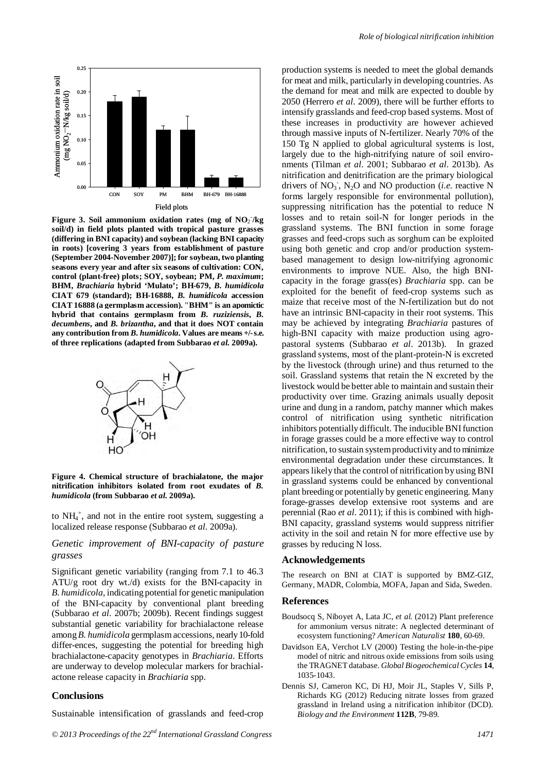

Figure 3. Soil ammonium oxidation rates (mg of NO<sub>2</sub>/kg **soil/d) in field plots planted with tropical pasture grasses (differing in BNI capacity) and soybean (lacking BNI capacity in roots) [covering 3 years from establishment of pasture (September 2004-November 2007)]; for soybean, two planting seasons every year and after six seasons of cultivation: CON, control (plant-free) plots; SOY, soybean; PM,** *P. maximum***; BHM,** *Brachiaria* **hybrid 'Mulato'; BH-679,** *B. humidicola* **CIAT 679 (standard); BH-16888,** *B. humidicola* **accession CIAT 16888 (a germplasm accession). "BHM" is an apomictic hybrid that contains germplasm from** *B. ruziziensis***,** *B. decumbens***, and** *B. brizantha***, and that it does NOT contain any contribution from** *B. humidicola***. Values are means +/- s.e. of three replications (adapted from Subbarao** *et al.* **2009a).**



**Figure 4. Chemical structure of brachialatone, the major nitrification inhibitors isolated from root exudates of** *B. humidicola* **(from Subbarao** *et al.* **2009a).** 

to NH4 + , and not in the entire root system, suggesting a localized release response (Subbarao *et al*. 2009a).

# *Genetic improvement of BNI-capacity of pasture grasses*

Significant genetic variability (ranging from 7.1 to 46.3 ATU/g root dry wt./d) exists for the BNI-capacity in *B. humidicola*, indicating potential for genetic manipulation of the BNI-capacity by conventional plant breeding (Subbarao *et al*. 2007b; 2009b). Recent findings suggest substantial genetic variability for brachialactone release among *B. humidicola* germplasm accessions, nearly 10-fold differ-ences, suggesting the potential for breeding high brachialactone-capacity genotypes in *Brachiaria*. Efforts are underway to develop molecular markers for brachialactone release capacity in *Brachiaria* spp.

# **Conclusions**

Sustainable intensification of grasslands and feed-crop

production systems is needed to meet the global demands for meat and milk, particularly in developing countries. As the demand for meat and milk are expected to double by 2050 (Herrero *et al*. 2009), there will be further efforts to intensify grasslands and feed-crop based systems. Most of these increases in productivity are however achieved through massive inputs of N-fertilizer. Nearly 70% of the 150 Tg N applied to global agricultural systems is lost, largely due to the high-nitrifying nature of soil environments (Tilman *et al*. 2001; Subbarao *et al*. 2013b). As nitrification and denitrification are the primary biological drivers of  $NO_3$ <sup>-</sup>,  $N_2O$  and NO production (*i.e.* reactive N forms largely responsible for environmental pollution), suppressing nitrification has the potential to reduce N losses and to retain soil-N for longer periods in the grassland systems. The BNI function in some forage grasses and feed-crops such as sorghum can be exploited using both genetic and crop and/or production systembased management to design low-nitrifying agronomic environments to improve NUE. Also, the high BNIcapacity in the forage grass(es) *Brachiaria* spp. can be exploited for the benefit of feed-crop systems such as maize that receive most of the N-fertilization but do not have an intrinsic BNI-capacity in their root systems. This may be achieved by integrating *Brachiaria* pastures of high-BNI capacity with maize production using agropastoral systems (Subbarao *et al*. 2013b). In grazed grassland systems, most of the plant-protein-N is excreted by the livestock (through urine) and thus returned to the soil. Grassland systems that retain the N excreted by the livestock would be better able to maintain and sustain their productivity over time. Grazing animals usually deposit urine and dung in a random, patchy manner which makes control of nitrification using synthetic nitrification inhibitors potentially difficult. The inducible BNI function in forage grasses could be a more effective way to control nitrification, to sustain system productivity and to minimize environmental degradation under these circumstances. It appears likely that the control of nitrification by using BNI in grassland systems could be enhanced by conventional plant breeding or potentially by genetic engineering. Many forage-grasses develop extensive root systems and are perennial (Rao *et al*. 2011); if this is combined with high-BNI capacity, grassland systems would suppress nitrifier activity in the soil and retain N for more effective use by grasses by reducing N loss.

#### **Acknowledgements**

The research on BNI at CIAT is supported by BMZ-GIZ, Germany, MADR, Colombia, MOFA, Japan and Sida, Sweden.

#### **References**

- Boudsocq S, Niboyet A, Lata JC, *et al.* (2012) Plant preference for ammonium versus nitrate: A neglected determinant of ecosystem functioning? *American Naturalist* **180**, 60-69.
- Davidson EA, Verchot LV (2000) Testing the hole-in-the-pipe model of nitric and nitrous oxide emissions from soils using the TRAGNET database. *Global Biogeochemical Cycles* **14**, 1035-1043.
- Dennis SJ, Cameron KC, Di HJ, Moir JL, Staples V, Sills P, Richards KG (2012) Reducing nitrate losses from grazed grassland in Ireland using a nitrification inhibitor (DCD). *Biology and the Environment* **112B**, 79-89.